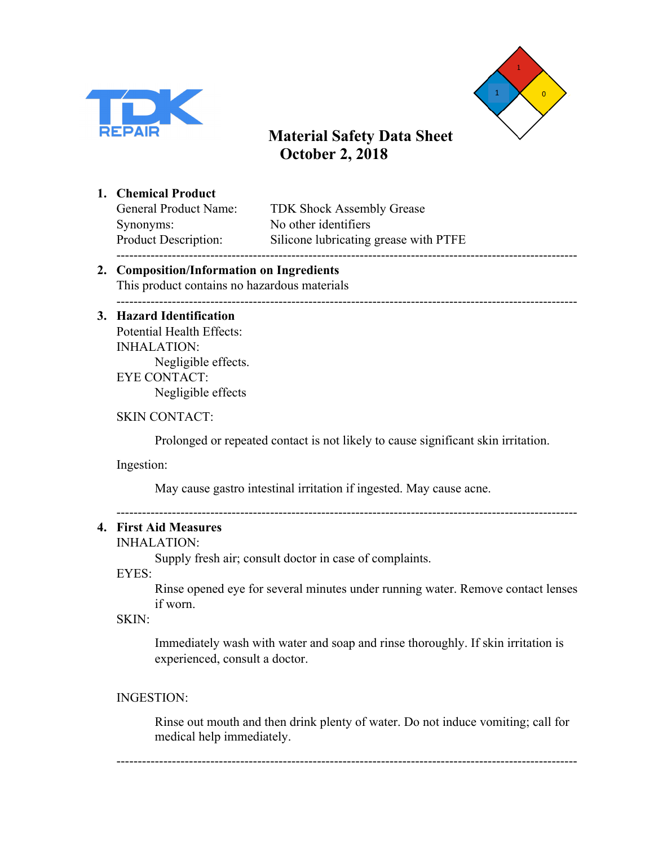



#### **1. Chemical Product**

Synonyms: No other identifiers

General Product Name: TDK Shock Assembly Grease Product Description: Silicone lubricating grease with PTFE ------------------------------------------------------------------------------------------------------------

#### **2. Composition/Information on Ingredients** This product contains no hazardous materials

------------------------------------------------------------------------------------------------------------

# **3. Hazard Identification** Potential Health Effects:

INHALATION: Negligible effects. EYE CONTACT: Negligible effects

## SKIN CONTACT:

Prolonged or repeated contact is not likely to cause significant skin irritation.

Ingestion:

May cause gastro intestinal irritation if ingested. May cause acne.

------------------------------------------------------------------------------------------------------------

# **4. First Aid Measures**

# INHALATION:

Supply fresh air; consult doctor in case of complaints.

EYES:

Rinse opened eye for several minutes under running water. Remove contact lenses if worn.

### SKIN:

Immediately wash with water and soap and rinse thoroughly. If skin irritation is experienced, consult a doctor.

### INGESTION:

Rinse out mouth and then drink plenty of water. Do not induce vomiting; call for medical help immediately.

------------------------------------------------------------------------------------------------------------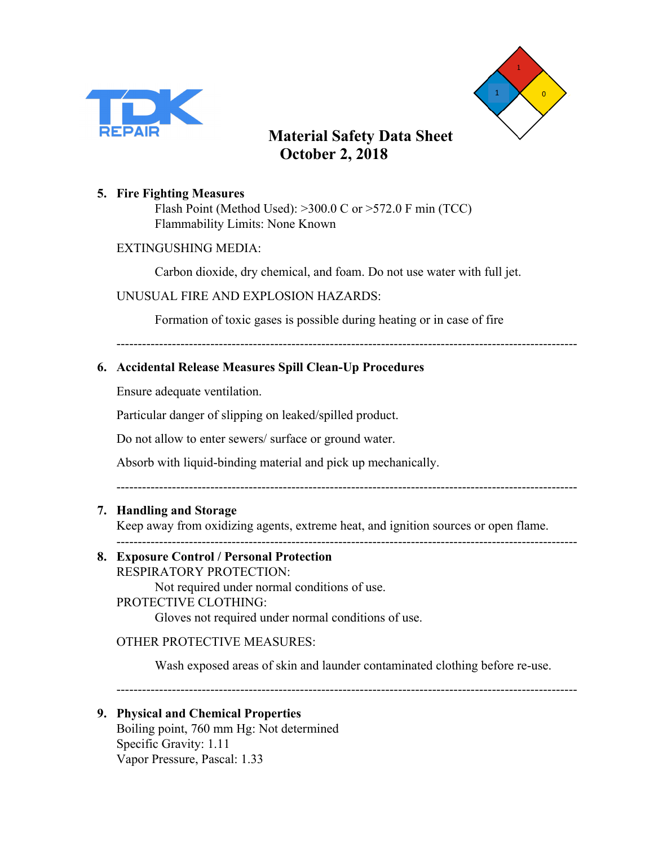



#### **5. Fire Fighting Measures**

Flash Point (Method Used): >300.0 C or >572.0 F min (TCC) Flammability Limits: None Known

#### EXTINGUSHING MEDIA:

Carbon dioxide, dry chemical, and foam. Do not use water with full jet.

#### UNUSUAL FIRE AND EXPLOSION HAZARDS:

Formation of toxic gases is possible during heating or in case of fire

------------------------------------------------------------------------------------------------------------

### **6. Accidental Release Measures Spill Clean-Up Procedures**

Ensure adequate ventilation.

Particular danger of slipping on leaked/spilled product.

Do not allow to enter sewers/ surface or ground water.

Absorb with liquid-binding material and pick up mechanically.

------------------------------------------------------------------------------------------------------------

### **7. Handling and Storage**

Keep away from oxidizing agents, extreme heat, and ignition sources or open flame.

------------------------------------------------------------------------------------------------------------

# **8. Exposure Control / Personal Protection**

RESPIRATORY PROTECTION:

Not required under normal conditions of use.

### PROTECTIVE CLOTHING:

Gloves not required under normal conditions of use.

#### OTHER PROTECTIVE MEASURES:

Wash exposed areas of skin and launder contaminated clothing before re-use.

------------------------------------------------------------------------------------------------------------

#### **9. Physical and Chemical Properties**

Boiling point, 760 mm Hg: Not determined Specific Gravity: 1.11 Vapor Pressure, Pascal: 1.33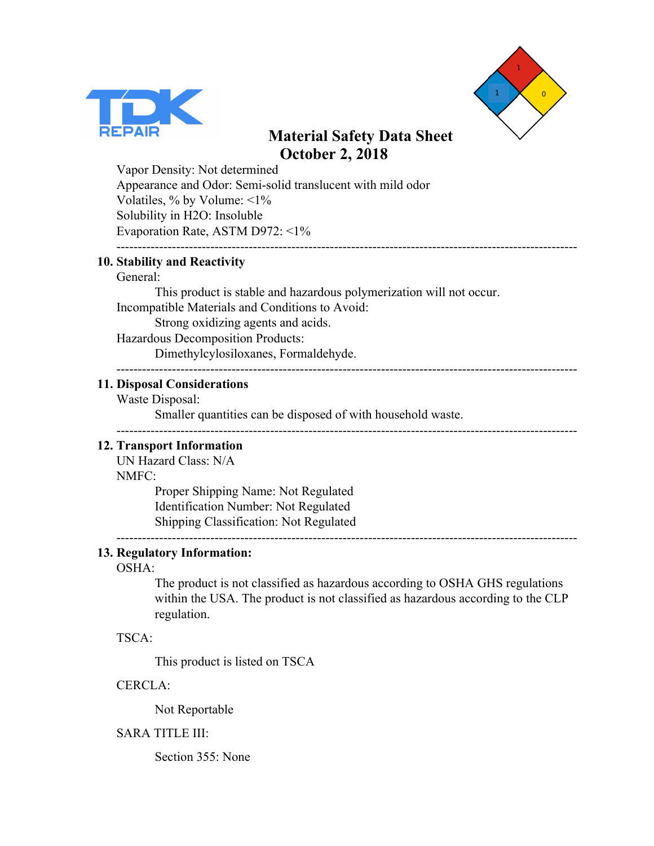



Vapor Density: Not determined Appearance and Odor: Semi-solid translucent with mild odor Volatiles, % by Volume: <1% Solubility in H2O: Insoluble Evaporation Rate, ASTM D972: <1% ------------------------------------------------------------------------------------------------------------

#### **10. Stability and Reactivity**

#### General:

This product is stable and hazardous polymerization will not occur. Incompatible Materials and Conditions to Avoid: Strong oxidizing agents and acids.

Hazardous Decomposition Products:

Dimethylcylosiloxanes, Formaldehyde.

#### ------------------------------------------------------------------------------------------------------------

------------------------------------------------------------------------------------------------------------

#### **11. Disposal Considerations**

Waste Disposal:

Smaller quantities can be disposed of with household waste.

#### **12. Transport Information**

UN Hazard Class: N/A NMFC:

> Proper Shipping Name: Not Regulated Identification Number: Not Regulated Shipping Classification: Not Regulated

------------------------------------------------------------------------------------------------------------

# **13. Regulatory Information:**

#### OSHA:

The product is not classified as hazardous according to OSHA GHS regulations within the USA. The product is not classified as hazardous according to the CLP regulation.

#### TSCA:

This product is listed on TSCA

#### CERCLA:

Not Reportable

#### SARA TITLE III:

Section 355: None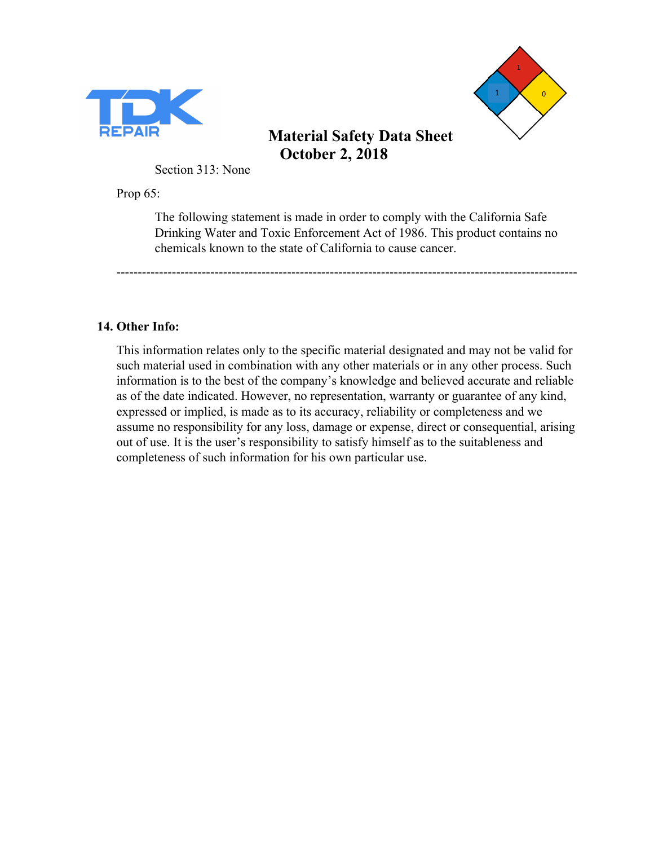



Section 313: None

Prop 65:

The following statement is made in order to comply with the California Safe Drinking Water and Toxic Enforcement Act of 1986. This product contains no chemicals known to the state of California to cause cancer.

------------------------------------------------------------------------------------------------------------

## **14. Other Info:**

This information relates only to the specific material designated and may not be valid for such material used in combination with any other materials or in any other process. Such information is to the best of the company's knowledge and believed accurate and reliable as of the date indicated. However, no representation, warranty or guarantee of any kind, expressed or implied, is made as to its accuracy, reliability or completeness and we assume no responsibility for any loss, damage or expense, direct or consequential, arising out of use. It is the user's responsibility to satisfy himself as to the suitableness and completeness of such information for his own particular use.